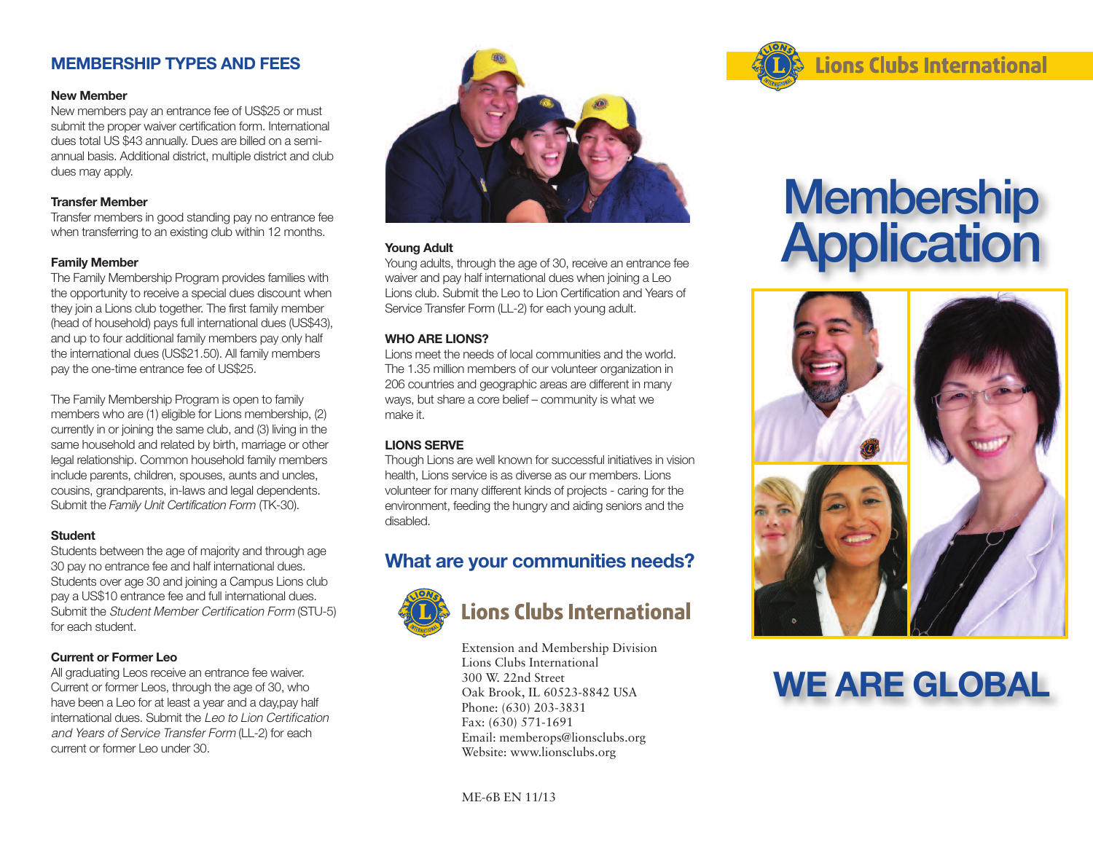### **MEMBERSHIP TYPES AND FEES**

#### **New Member**

New members pay an entrance fee of US\$25 or must submit the proper waiver certification form. International dues total US \$43 annually. Dues are billed on a semiannual basis. Additional district, multiple district and club dues may apply.

#### **Transfer Member**

Transfer members in good standing pay no entrance fee when transferring to an existing club within 12 months.

#### **Family Member**

The Family Membership Program provides families with the opportunity to receive a special dues discount when they join a Lions club together. The first family member (head of household) pays full international dues (US\$43), and up to four additional family members pay only half the international dues (US\$21.50). All family members pay the one-time entrance fee of US\$25.

The Family Membership Program is open to family members who are (1) eligible for Lions membership, (2) currently in or joining the same club, and (3) living in the same household and related by birth, marriage or other legal relationship. Common household family members include parents, children, spouses, aunts and uncles, cousins, grandparents, in-laws and legal dependents. Submit the *Family Unit Certification Form* (TK-30).

#### **Student**

Students between the age of majority and through age 30 pay no entrance fee and half international dues. Students over age 30 and joining a Campus Lions club pay a US\$10 entrance fee and full international dues. Submit the *Student Member Certification Form* (STU-5) for each student.

#### **Current or Former Leo**

All graduating Leos receive an entrance fee waiver. Current or former Leos, through the age of 30, who have been a Leo for at least a year and a day,pay half international dues. Submit the *Leo to Lion Certification and Years of Service Transfer Form* (LL-2) for each current or former Leo under 30.



#### **Young Adult**

Young adults, through the age of 30, receive an entrance fee waiver and pay half international dues when joining a Leo Lions club. Submit the Leo to Lion Certification and Years of Service Transfer Form (LL-2) for each young adult.

#### **WHO ARE LIONS?**

Lions meet the needs of local communities and the world. The 1.35 million members of our volunteer organization in 206 countries and geographic areas are different in many ways, but share a core belief – community is what we make it.

#### **LIONS SERVE**

Though Lions are well known for successful initiatives in vision health, Lions service is as diverse as our members. Lions volunteer for many different kinds of projects - caring for the environment, feeding the hungry and aiding seniors and the disabled.

## **What are your communities needs?**



## **Lions Clubs International**

Extension and Membership Division Lions Clubs International 300 W. 22nd Street Oak Brook, IL 60523-8842 USA Phone: (630) 203-3831 Fax: (630) 571-1691 Email: memberops@lionsclubs.org Website: www.lionsclubs.org

# **Lions Clubs International**

# **Membership Application**



# **WE ARE GLOBAL**